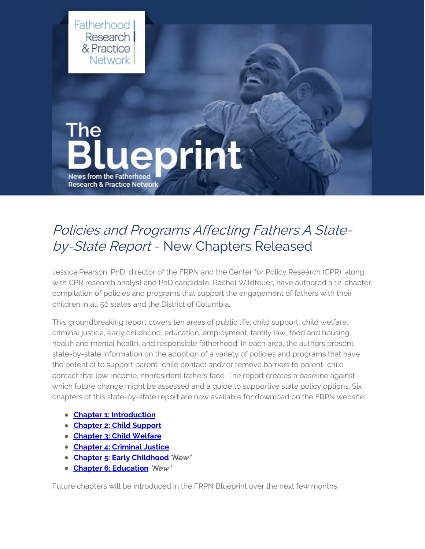

## Policies and Programs Affecting Fathers A Stateby-State Report - New Chapters Released

Jessica Pearson, PhD, director of the FRPN and the Center for Policy Research (CPR), along with CPR research analyst and PhD candidate, Rachel Wildfeuer, have authored a 12-chapter compilation of policies and programs that support the engagement of fathers with their children in all 50 states and the District of Columbia.

This groundbreaking report covers ten areas of public life: child support, child welfare, criminal justice, early childhood, education, employment, family law, food and housing, health and mental health, and responsible fatherhood. In each area, the authors present state-by-state information on the adoption of a variety of policies and programs that have the potential to support parent–child contact and/or remove barriers to parent–child contact that low-income, nonresident fathers face. The report creates a baseline against which future change might be assessed and a guide to supportive state policy options. Six chapters of this state-by-state report are now available for download on the FRPN website:

- **Chapter 1: [Introduction](https://www.frpn.org/asset/policies-and-programs-affecting-fathers-state-state-report-introduction)**
- **[Chapter](https://www.frpn.org/asset/policies-and-programs-affecting-fathers-state-state-report-chapter-2-child-support) 2: Child Support**
- **[Chapter](https://www.frpn.org/asset/policies-and-programs-affecting-fathers-state-state-report-chapter-3-child-welfare) 3: Child Welfare**
- **Chapter 4: [Criminal](https://www.frpn.org/asset/policies-and-programs-affecting-fathers-state-state-report-chapter-4-criminal-justice) Justice**
- **Chapter 5: Early [Childhood](https://www.frpn.org/asset/policies-and-programs-affecting-fathers-state-state-report-chapter-5-early-childhood)\*New\***
- **Chapter 6: [Education](https://www.frpn.org/asset/policies-and-programs-affecting-fathers-state-state-report-chapter-6-education) \*New\***

Future chapters will be introduced in the FRPN Blueprint over the next few months.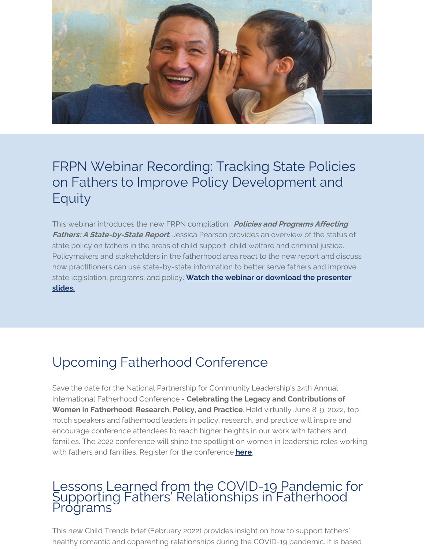

## FRPN Webinar Recording: Tracking State Policies on Fathers to Improve Policy Development and Equity

This webinar introduces the new FRPN compilation, **Policies and Programs Affecting Fathers: A State-by-State Report**. Jessica Pearson provides an overview of the status of state policy on fathers in the areas of child support, child welfare and criminal justice. Policymakers and stakeholders in the fatherhood area react to the new report and discuss how practitioners can use state-by-state information to better serve fathers and improve state [legislation,](https://www.frpn.org/asset/frpn-webinar-tracking-state-policies-fathers-improve-policy-development-and-equity) programs, and policy. **Watch the webinar or download the presenter slides.**

# Upcoming Fatherhood Conference

Save the date for the National Partnership for Community Leadership's 24th Annual International Fatherhood Conference - **Celebrating the Legacy and Contributions of Women in Fatherhood: Research, Policy, and Practice**. Held virtually June 8-9, 2022, topnotch speakers and fatherhood leaders in policy, research, and practice will inspire and encourage conference attendees to reach higher heights in our work with fathers and families. The 2022 conference will shine the spotlight on women in leadership roles working with fathers and families. Register for the conference **[here](https://www.npclfathersandfamilies.org/ifc2022-program)**.

## Lessons Learned from the COVID-19 Pandemic for Supporting Fathers' Relationships in Fatherhood Programs

This new Child Trends brief (February 2022) provides insight on how to support fathers' healthy romantic and coparenting relationships during the COVID-19 pandemic. It is based